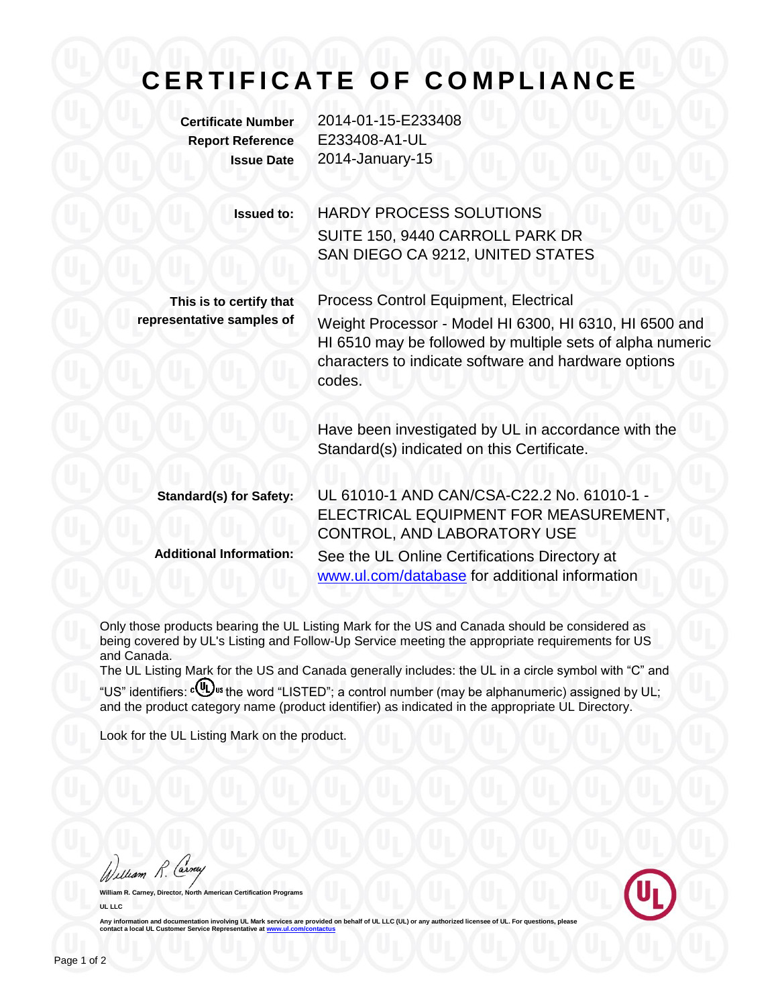## **C E R T I F I C A T E O F C O M P L I A N C E**

**Certificate Number** 2014-01-15-E233408 **Report Reference** E233408-A1-UL **Issue Date** 2014-January-15

> **Issued to:** HARDY PROCESS SOLUTIONS SUITE 150, 9440 CARROLL PARK DR SAN DIEGO CA 9212, UNITED STATES

**This is to certify that representative samples of**

Process Control Equipment, Electrical Weight Processor - Model HI 6300, HI 6310, HI 6500 and HI 6510 may be followed by multiple sets of alpha numeric characters to indicate software and hardware options codes.

Have been investigated by UL in accordance with the Standard(s) indicated on this Certificate.

**Standard(s) for Safety:** UL 61010-1 AND CAN/CSA-C22.2 No. 61010-1 - ELECTRICAL EQUIPMENT FOR MEASUREMENT, CONTROL, AND LABORATORY USE **Additional Information:** See the UL Online Certifications Directory at [www.ul.com/database](http://www.ul.com/database) for additional information

Only those products bearing the UL Listing Mark for the US and Canada should be considered as being covered by UL's Listing and Follow-Up Service meeting the appropriate requirements for US and Canada.

The UL Listing Mark for the US and Canada generally includes: the UL in a circle symbol with "C" and "US" identifiers: cobus the word "LISTED"; a control number (may be alphanumeric) assigned by UL;

and the product category name (product identifier) as indicated in the appropriate UL Directory.

Look for the UL Listing Mark on the product.

William R. Carney

**William Certification Programs UL LLC**



Any information and documentation involving UL Mark services are provided on behalf of UL LLC (UL) or any authorized licensee of UL. For questions, please<br>contact a local UL Customer Service Representative at <u>www.ul.com/c</u>